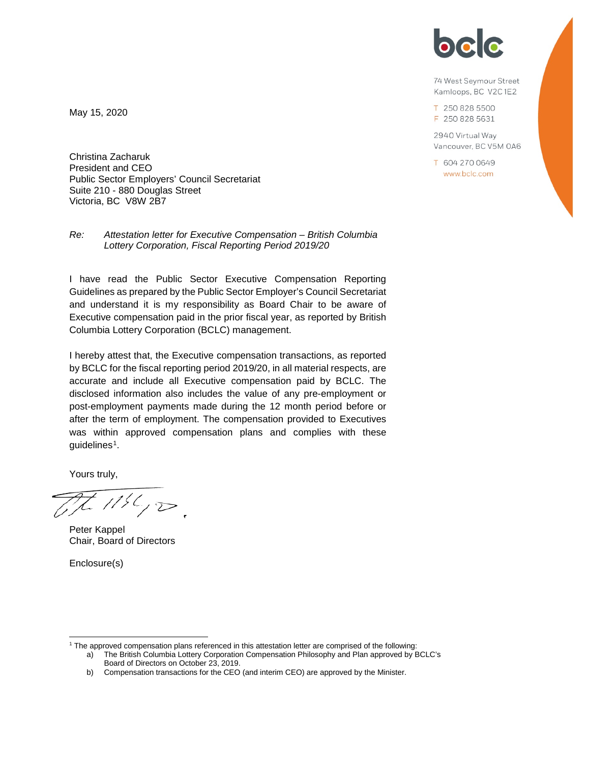

74 West Seymour Street Kamloops, BC V2C1E2

T 250 828 5500 F 250 828 5631

2940 Virtual Way Vancouver, BC V5M 0A6

T 604 270 0649 www.bclc.com

May 15, 2020

Christina Zacharuk President and CEO Public Sector Employers' Council Secretariat Suite 210 - 880 Douglas Street Victoria, BC V8W 2B7

*Re: Attestation letter for Executive Compensation – British Columbia Lottery Corporation, Fiscal Reporting Period 2019/20*

I have read the Public Sector Executive Compensation Reporting Guidelines as prepared by the Public Sector Employer's Council Secretariat and understand it is my responsibility as Board Chair to be aware of Executive compensation paid in the prior fiscal year, as reported by British Columbia Lottery Corporation (BCLC) management.

I hereby attest that, the Executive compensation transactions, as reported by BCLC for the fiscal reporting period 2019/20, in all material respects, are accurate and include all Executive compensation paid by BCLC. The disclosed information also includes the value of any pre-employment or post-employment payments made during the 12 month period before or after the term of employment. The compensation provided to Executives was within approved compensation plans and complies with these guidelines<sup>[1](#page-0-0)</sup>.

Yours truly,

 $1156,000$ 

Peter Kappel Chair, Board of Directors

Enclosure(s)

<span id="page-0-0"></span> <sup>1</sup> The approved compensation plans referenced in this attestation letter are comprised of the following:

a) The British Columbia Lottery Corporation Compensation Philosophy and Plan approved by BCLC's Board of Directors on October 23, 2019.

b) Compensation transactions for the CEO (and interim CEO) are approved by the Minister.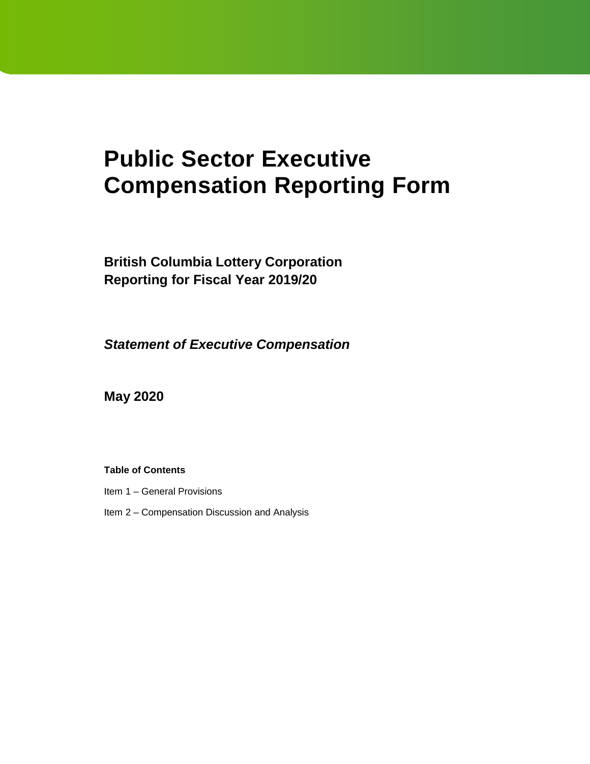# **Public Sector Executive Compensation Reporting Form**

**British Columbia Lottery Corporation Reporting for Fiscal Year 2019/20**

*Statement of Executive Compensation* 

**May 2020**

# **Table of Contents**

- Item 1 General Provisions
- Item 2 Compensation Discussion and Analysis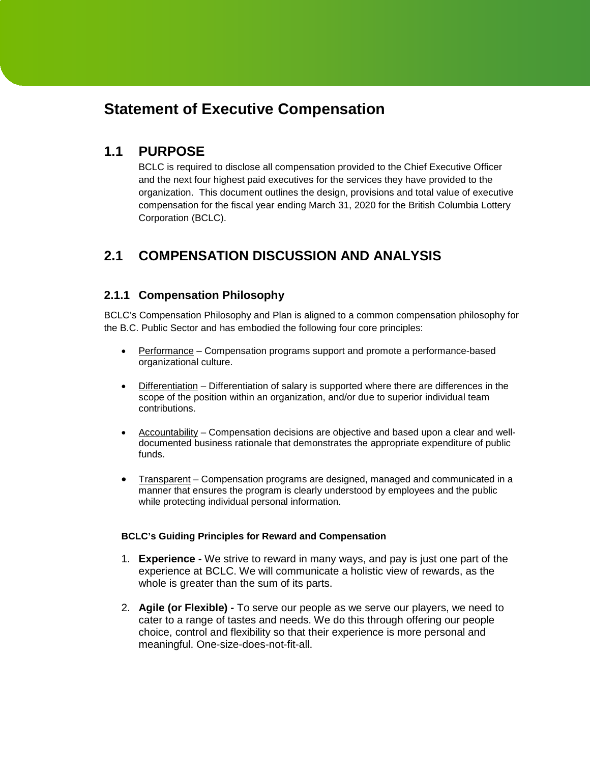# **Statement of Executive Compensation**

# **1.1 PURPOSE**

BCLC is required to disclose all compensation provided to the Chief Executive Officer and the next four highest paid executives for the services they have provided to the organization. This document outlines the design, provisions and total value of executive compensation for the fiscal year ending March 31, 2020 for the British Columbia Lottery Corporation (BCLC).

# **2.1 COMPENSATION DISCUSSION AND ANALYSIS**

# **2.1.1 Compensation Philosophy**

BCLC's Compensation Philosophy and Plan is aligned to a common compensation philosophy for the B.C. Public Sector and has embodied the following four core principles:

- Performance Compensation programs support and promote a performance-based organizational culture.
- Differentiation Differentiation of salary is supported where there are differences in the scope of the position within an organization, and/or due to superior individual team contributions.
- Accountability Compensation decisions are objective and based upon a clear and welldocumented business rationale that demonstrates the appropriate expenditure of public funds.
- Transparent Compensation programs are designed, managed and communicated in a manner that ensures the program is clearly understood by employees and the public while protecting individual personal information.

# **BCLC's Guiding Principles for Reward and Compensation**

- 1. **Experience -** We strive to reward in many ways, and pay is just one part of the experience at BCLC. We will communicate a holistic view of rewards, as the whole is greater than the sum of its parts.
- 2. **Agile (or Flexible) -** To serve our people as we serve our players, we need to cater to a range of tastes and needs. We do this through offering our people choice, control and flexibility so that their experience is more personal and meaningful. One-size-does-not-fit-all.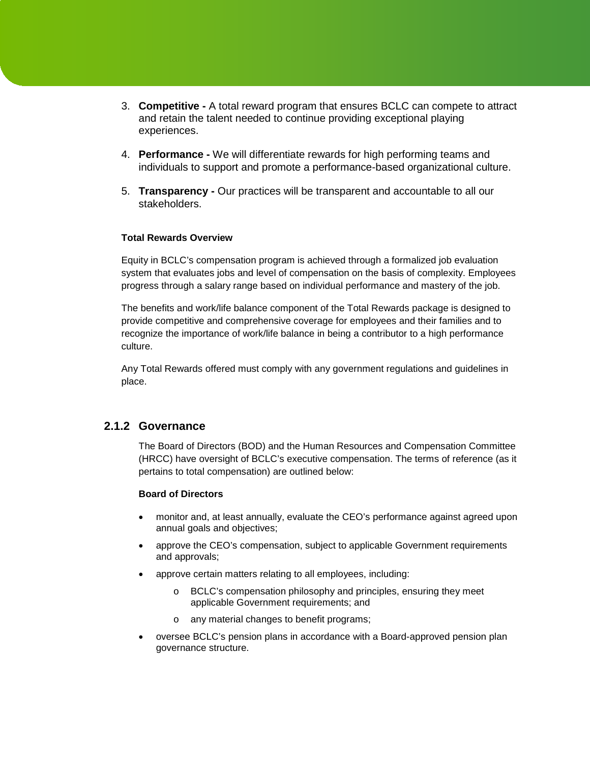- 3. **Competitive -** A total reward program that ensures BCLC can compete to attract and retain the talent needed to continue providing exceptional playing experiences.
- 4. **Performance -** We will differentiate rewards for high performing teams and individuals to support and promote a performance-based organizational culture.
- 5. **Transparency -** Our practices will be transparent and accountable to all our stakeholders.

### **Total Rewards Overview**

Equity in BCLC's compensation program is achieved through a formalized job evaluation system that evaluates jobs and level of compensation on the basis of complexity. Employees progress through a salary range based on individual performance and mastery of the job.

The benefits and work/life balance component of the Total Rewards package is designed to provide competitive and comprehensive coverage for employees and their families and to recognize the importance of work/life balance in being a contributor to a high performance culture.

Any Total Rewards offered must comply with any government regulations and guidelines in place.

# **2.1.2 Governance**

The Board of Directors (BOD) and the Human Resources and Compensation Committee (HRCC) have oversight of BCLC's executive compensation. The terms of reference (as it pertains to total compensation) are outlined below:

### **Board of Directors**

- monitor and, at least annually, evaluate the CEO's performance against agreed upon annual goals and objectives;
- approve the CEO's compensation, subject to applicable Government requirements and approvals;
- approve certain matters relating to all employees, including:
	- o BCLC's compensation philosophy and principles, ensuring they meet applicable Government requirements; and
	- o any material changes to benefit programs;
- oversee BCLC's pension plans in accordance with a Board-approved pension plan governance structure.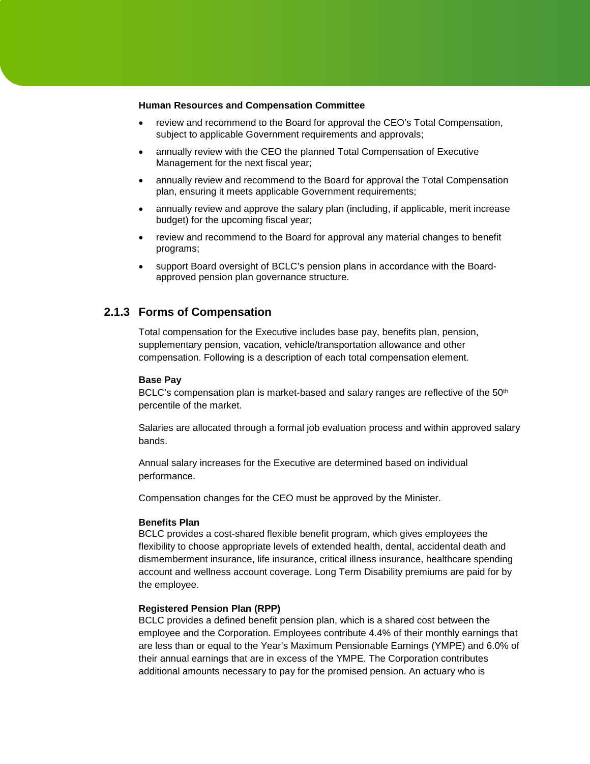#### **Human Resources and Compensation Committee**

- review and recommend to the Board for approval the CEO's Total Compensation, subject to applicable Government requirements and approvals;
- annually review with the CEO the planned Total Compensation of Executive Management for the next fiscal year;
- annually review and recommend to the Board for approval the Total Compensation plan, ensuring it meets applicable Government requirements;
- annually review and approve the salary plan (including, if applicable, merit increase budget) for the upcoming fiscal year;
- review and recommend to the Board for approval any material changes to benefit programs;
- support Board oversight of BCLC's pension plans in accordance with the Boardapproved pension plan governance structure.

# **2.1.3 Forms of Compensation**

Total compensation for the Executive includes base pay, benefits plan, pension, supplementary pension, vacation, vehicle/transportation allowance and other compensation. Following is a description of each total compensation element.

#### **Base Pay**

BCLC's compensation plan is market-based and salary ranges are reflective of the 50<sup>th</sup> percentile of the market.

Salaries are allocated through a formal job evaluation process and within approved salary bands.

Annual salary increases for the Executive are determined based on individual performance.

Compensation changes for the CEO must be approved by the Minister.

#### **Benefits Plan**

BCLC provides a cost-shared flexible benefit program, which gives employees the flexibility to choose appropriate levels of extended health, dental, accidental death and dismemberment insurance, life insurance, critical illness insurance, healthcare spending account and wellness account coverage. Long Term Disability premiums are paid for by the employee.

#### **Registered Pension Plan (RPP)**

BCLC provides a defined benefit pension plan, which is a shared cost between the employee and the Corporation. Employees contribute 4.4% of their monthly earnings that are less than or equal to the Year's Maximum Pensionable Earnings (YMPE) and 6.0% of their annual earnings that are in excess of the YMPE. The Corporation contributes additional amounts necessary to pay for the promised pension. An actuary who is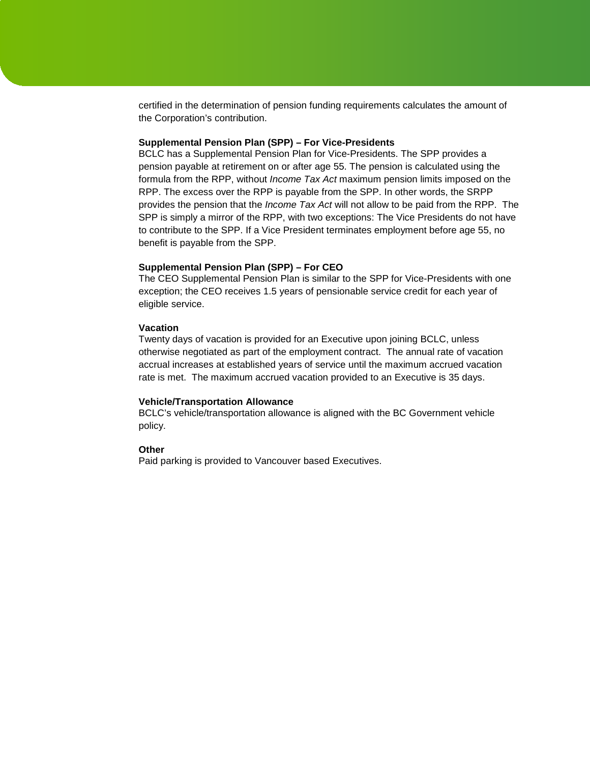certified in the determination of pension funding requirements calculates the amount of the Corporation's contribution.

#### **Supplemental Pension Plan (SPP) – For Vice-Presidents**

BCLC has a Supplemental Pension Plan for Vice-Presidents. The SPP provides a pension payable at retirement on or after age 55. The pension is calculated using the formula from the RPP, without *Income Tax Act* maximum pension limits imposed on the RPP. The excess over the RPP is payable from the SPP. In other words, the SRPP provides the pension that the *Income Tax Act* will not allow to be paid from the RPP. The SPP is simply a mirror of the RPP, with two exceptions: The Vice Presidents do not have to contribute to the SPP. If a Vice President terminates employment before age 55, no benefit is payable from the SPP.

#### **Supplemental Pension Plan (SPP) – For CEO**

The CEO Supplemental Pension Plan is similar to the SPP for Vice-Presidents with one exception; the CEO receives 1.5 years of pensionable service credit for each year of eligible service.

#### **Vacation**

Twenty days of vacation is provided for an Executive upon joining BCLC, unless otherwise negotiated as part of the employment contract. The annual rate of vacation accrual increases at established years of service until the maximum accrued vacation rate is met. The maximum accrued vacation provided to an Executive is 35 days.

#### **Vehicle/Transportation Allowance**

BCLC's vehicle/transportation allowance is aligned with the BC Government vehicle policy.

#### **Other**

Paid parking is provided to Vancouver based Executives.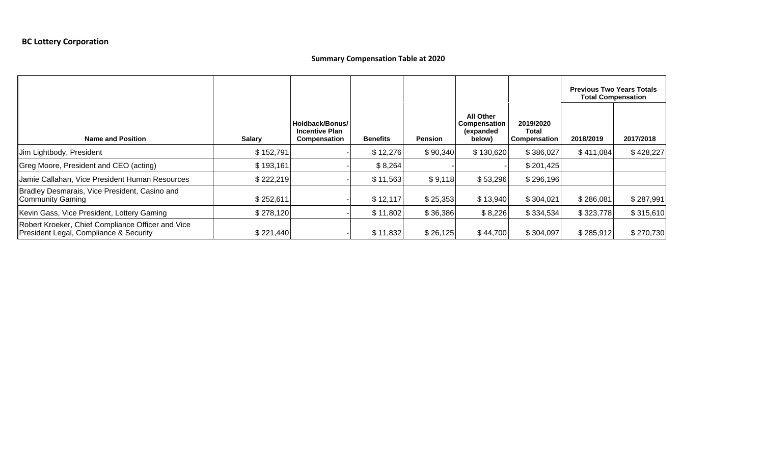# **Summary Compensation Table at 2020**

|                                                                                             |               |                                                                 |                 |                |                                                                |                                    | <b>Previous Two Years Totals</b><br><b>Total Compensation</b> |           |
|---------------------------------------------------------------------------------------------|---------------|-----------------------------------------------------------------|-----------------|----------------|----------------------------------------------------------------|------------------------------------|---------------------------------------------------------------|-----------|
| <b>Name and Position</b>                                                                    | <b>Salary</b> | Holdback/Bonus/<br><b>Incentive Plan</b><br><b>Compensation</b> | <b>Benefits</b> | <b>Pension</b> | <b>All Other</b><br><b>Compensation</b><br>(expanded<br>below) | 2019/2020<br>Total<br>Compensation | 2018/2019                                                     | 2017/2018 |
| Jim Lightbody, President                                                                    | \$152,791     |                                                                 | \$12,276        | \$90,340       | \$130,620                                                      | \$386,027                          | \$411,084                                                     | \$428,227 |
| Greg Moore, President and CEO (acting)                                                      | \$193,161     |                                                                 | \$8,264         |                |                                                                | \$201,425                          |                                                               |           |
| Jamie Callahan, Vice President Human Resources                                              | \$222,219     |                                                                 | \$11,563        | \$9,118        | \$53,296                                                       | \$296,196                          |                                                               |           |
| Bradley Desmarais, Vice President, Casino and<br>Community Gaming                           | \$252,611     |                                                                 | \$12,117        | \$25,353       | \$13,940                                                       | \$304,021                          | \$286,081                                                     | \$287,991 |
| Kevin Gass, Vice President, Lottery Gaming                                                  | \$278,120     |                                                                 | \$11,802        | \$36,386       | \$8,226                                                        | \$334,534                          | \$323,778                                                     | \$315,610 |
| Robert Kroeker, Chief Compliance Officer and Vice<br>President Legal, Compliance & Security | \$221,440     |                                                                 | \$11,832        | \$26,125       | \$44,700                                                       | \$304,097                          | \$285,912                                                     | \$270,730 |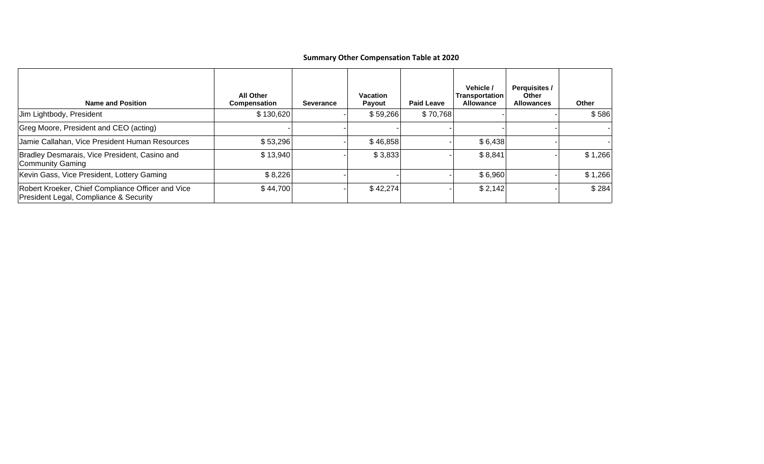# **Summary Other Compensation Table at 2020**

| <b>Name and Position</b>                                                                    | <b>All Other</b><br><b>Compensation</b> | Severance | <b>Vacation</b><br><b>Payout</b> | <b>Paid Leave</b> | Vehicle /<br>Transportation<br>Allowance | <b>Perquisites /</b><br><b>Other</b><br><b>Allowances</b> | <b>Other</b> |
|---------------------------------------------------------------------------------------------|-----------------------------------------|-----------|----------------------------------|-------------------|------------------------------------------|-----------------------------------------------------------|--------------|
| Jim Lightbody, President                                                                    | \$130,620                               |           | \$59,266                         | \$70,768          |                                          |                                                           | \$586        |
| Greg Moore, President and CEO (acting)                                                      |                                         |           |                                  |                   |                                          |                                                           |              |
| Jamie Callahan, Vice President Human Resources                                              | \$53,296                                |           | \$46,858                         |                   | \$6,438                                  |                                                           |              |
| Bradley Desmarais, Vice President, Casino and<br><b>Community Gaming</b>                    | \$13,940                                |           | \$3,833                          |                   | \$8,841                                  |                                                           | \$1,266      |
| Kevin Gass, Vice President, Lottery Gaming                                                  | \$8,226                                 |           |                                  |                   | \$6,960                                  |                                                           | \$1,266      |
| Robert Kroeker, Chief Compliance Officer and Vice<br>President Legal, Compliance & Security | \$44,700                                |           | \$42,274                         |                   | \$2,142                                  |                                                           | \$284        |